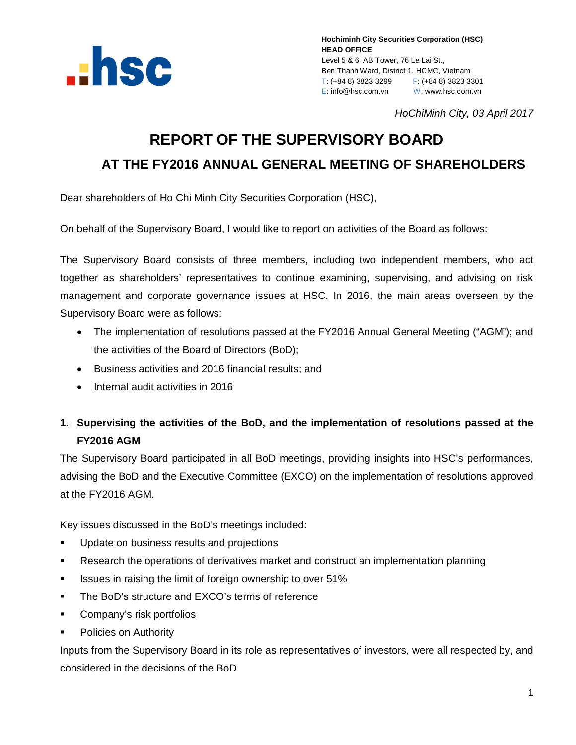

*HoChiMinh City, 03 April 2017*

# **REPORT OF THE SUPERVISORY BOARD**

## **AT THE FY2016 ANNUAL GENERAL MEETING OF SHAREHOLDERS**

Dear shareholders of Ho Chi Minh City Securities Corporation (HSC),

On behalf of the Supervisory Board, I would like to report on activities of the Board as follows:

The Supervisory Board consists of three members, including two independent members, who act together as shareholders' representatives to continue examining, supervising, and advising on risk management and corporate governance issues at HSC. In 2016, the main areas overseen by the Supervisory Board were as follows:

- The implementation of resolutions passed at the FY2016 Annual General Meeting ("AGM"); and the activities of the Board of Directors (BoD);
- Business activities and 2016 financial results; and
- Internal audit activities in 2016

## **1. Supervising the activities of the BoD, and the implementation of resolutions passed at the FY2016 AGM**

The Supervisory Board participated in all BoD meetings, providing insights into HSC's performances, advising the BoD and the Executive Committee (EXCO) on the implementation of resolutions approved at the FY2016 AGM.

Key issues discussed in the BoD's meetings included:

- **Update on business results and projections**
- Research the operations of derivatives market and construct an implementation planning
- **ISSUES** in raising the limit of foreign ownership to over 51%
- **The BoD's structure and EXCO's terms of reference**
- **Company's risk portfolios**
- **•** Policies on Authority

Inputs from the Supervisory Board in its role as representatives of investors, were all respected by, and considered in the decisions of the BoD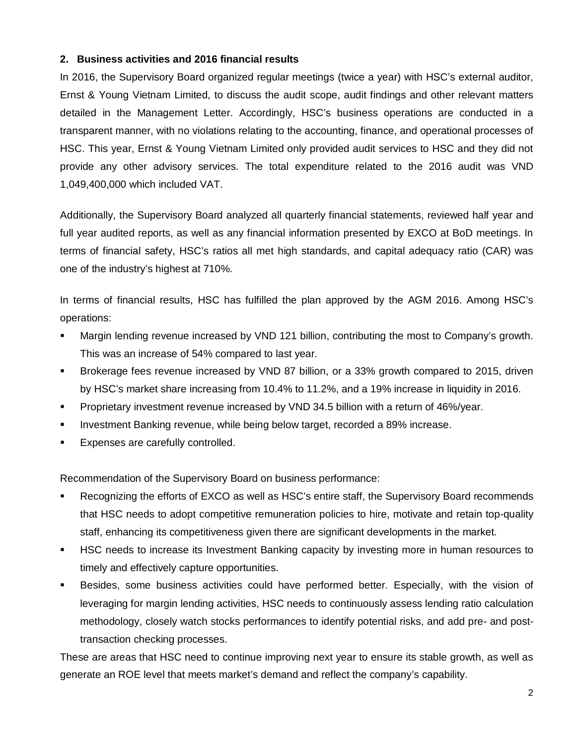#### **2. Business activities and 2016 financial results**

In 2016, the Supervisory Board organized regular meetings (twice a year) with HSC's external auditor, Ernst & Young Vietnam Limited, to discuss the audit scope, audit findings and other relevant matters detailed in the Management Letter. Accordingly, HSC's business operations are conducted in a transparent manner, with no violations relating to the accounting, finance, and operational processes of HSC. This year, Ernst & Young Vietnam Limited only provided audit services to HSC and they did not provide any other advisory services. The total expenditure related to the 2016 audit was VND 1,049,400,000 which included VAT.

Additionally, the Supervisory Board analyzed all quarterly financial statements, reviewed half year and full year audited reports, as well as any financial information presented by EXCO at BoD meetings. In terms of financial safety, HSC's ratios all met high standards, and capital adequacy ratio (CAR) was one of the industry's highest at 710%.

In terms of financial results, HSC has fulfilled the plan approved by the AGM 2016. Among HSC's operations:

- Margin lending revenue increased by VND 121 billion, contributing the most to Company's growth. This was an increase of 54% compared to last year.
- Brokerage fees revenue increased by VND 87 billion, or a 33% growth compared to 2015, driven by HSC's market share increasing from 10.4% to 11.2%, and a 19% increase in liquidity in 2016.
- Proprietary investment revenue increased by VND 34.5 billion with a return of 46%/year.
- Investment Banking revenue, while being below target, recorded a 89% increase.
- Expenses are carefully controlled.

Recommendation of the Supervisory Board on business performance:

- Recognizing the efforts of EXCO as well as HSC's entire staff, the Supervisory Board recommends that HSC needs to adopt competitive remuneration policies to hire, motivate and retain top-quality staff, enhancing its competitiveness given there are significant developments in the market.
- HSC needs to increase its Investment Banking capacity by investing more in human resources to timely and effectively capture opportunities.
- Besides, some business activities could have performed better. Especially, with the vision of leveraging for margin lending activities, HSC needs to continuously assess lending ratio calculation methodology, closely watch stocks performances to identify potential risks, and add pre- and posttransaction checking processes.

These are areas that HSC need to continue improving next year to ensure its stable growth, as well as generate an ROE level that meets market's demand and reflect the company's capability.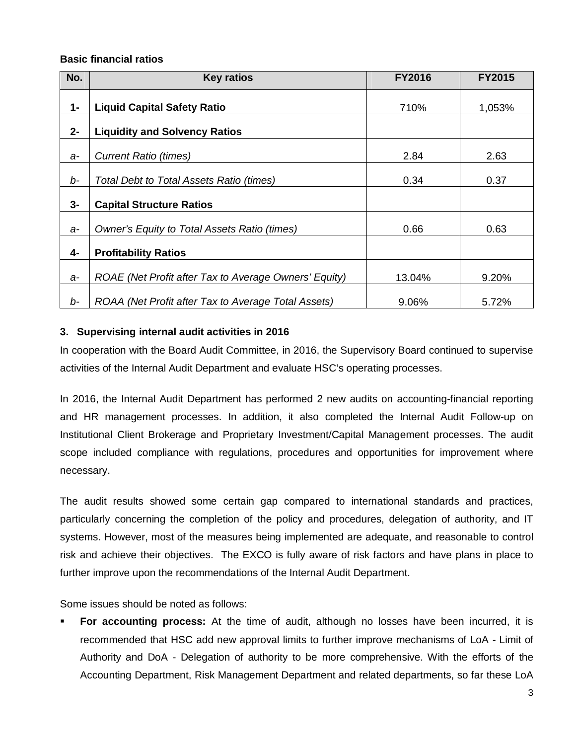#### **Basic financial ratios**

| No.   | <b>Key ratios</b>                                     | <b>FY2016</b> | <b>FY2015</b> |
|-------|-------------------------------------------------------|---------------|---------------|
| $1 -$ | <b>Liquid Capital Safety Ratio</b>                    | 710%          | 1,053%        |
| $2 -$ | <b>Liquidity and Solvency Ratios</b>                  |               |               |
| a-    | <b>Current Ratio (times)</b>                          | 2.84          | 2.63          |
| b-    | Total Debt to Total Assets Ratio (times)              | 0.34          | 0.37          |
| 3-    | <b>Capital Structure Ratios</b>                       |               |               |
| $a-$  | Owner's Equity to Total Assets Ratio (times)          | 0.66          | 0.63          |
| 4-    | <b>Profitability Ratios</b>                           |               |               |
| $a-$  | ROAE (Net Profit after Tax to Average Owners' Equity) | 13.04%        | 9.20%         |
| b-    | ROAA (Net Profit after Tax to Average Total Assets)   | 9.06%         | 5.72%         |

#### **3. Supervising internal audit activities in 2016**

In cooperation with the Board Audit Committee, in 2016, the Supervisory Board continued to supervise activities of the Internal Audit Department and evaluate HSC's operating processes.

In 2016, the Internal Audit Department has performed 2 new audits on accounting-financial reporting and HR management processes. In addition, it also completed the Internal Audit Follow-up on Institutional Client Brokerage and Proprietary Investment/Capital Management processes. The audit scope included compliance with regulations, procedures and opportunities for improvement where necessary.

The audit results showed some certain gap compared to international standards and practices, particularly concerning the completion of the policy and procedures, delegation of authority, and IT systems. However, most of the measures being implemented are adequate, and reasonable to control risk and achieve their objectives. The EXCO is fully aware of risk factors and have plans in place to further improve upon the recommendations of the Internal Audit Department.

Some issues should be noted as follows:

 **For accounting process:** At the time of audit, although no losses have been incurred, it is recommended that HSC add new approval limits to further improve mechanisms of LoA - Limit of Authority and DoA - Delegation of authority to be more comprehensive. With the efforts of the Accounting Department, Risk Management Department and related departments, so far these LoA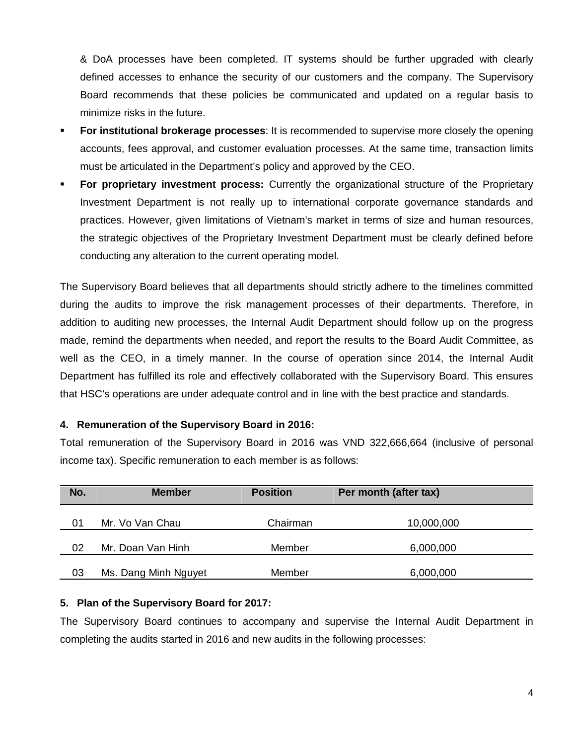& DoA processes have been completed. IT systems should be further upgraded with clearly defined accesses to enhance the security of our customers and the company. The Supervisory Board recommends that these policies be communicated and updated on a regular basis to minimize risks in the future.

- **For institutional brokerage processes**: It is recommended to supervise more closely the opening accounts, fees approval, and customer evaluation processes. At the same time, transaction limits must be articulated in the Department's policy and approved by the CEO.
- **For proprietary investment process:** Currently the organizational structure of the Proprietary Investment Department is not really up to international corporate governance standards and practices. However, given limitations of Vietnam's market in terms of size and human resources, the strategic objectives of the Proprietary Investment Department must be clearly defined before conducting any alteration to the current operating model.

The Supervisory Board believes that all departments should strictly adhere to the timelines committed during the audits to improve the risk management processes of their departments. Therefore, in addition to auditing new processes, the Internal Audit Department should follow up on the progress made, remind the departments when needed, and report the results to the Board Audit Committee, as well as the CEO, in a timely manner. In the course of operation since 2014, the Internal Audit Department has fulfilled its role and effectively collaborated with the Supervisory Board. This ensures that HSC's operations are under adequate control and in line with the best practice and standards.

#### **4. Remuneration of the Supervisory Board in 2016:**

Total remuneration of the Supervisory Board in 2016 was VND 322,666,664 (inclusive of personal income tax). Specific remuneration to each member is as follows:

| No. | <b>Member</b>        | <b>Position</b> | Per month (after tax) |
|-----|----------------------|-----------------|-----------------------|
|     | Mr. Vo Van Chau      | Chairman        |                       |
| 01  |                      |                 | 10,000,000            |
| 02  | Mr. Doan Van Hinh    | Member          | 6,000,000             |
|     |                      |                 |                       |
| 03  | Ms. Dang Minh Nguyet | Member          | 6,000,000             |

#### **5. Plan of the Supervisory Board for 2017:**

The Supervisory Board continues to accompany and supervise the Internal Audit Department in completing the audits started in 2016 and new audits in the following processes: